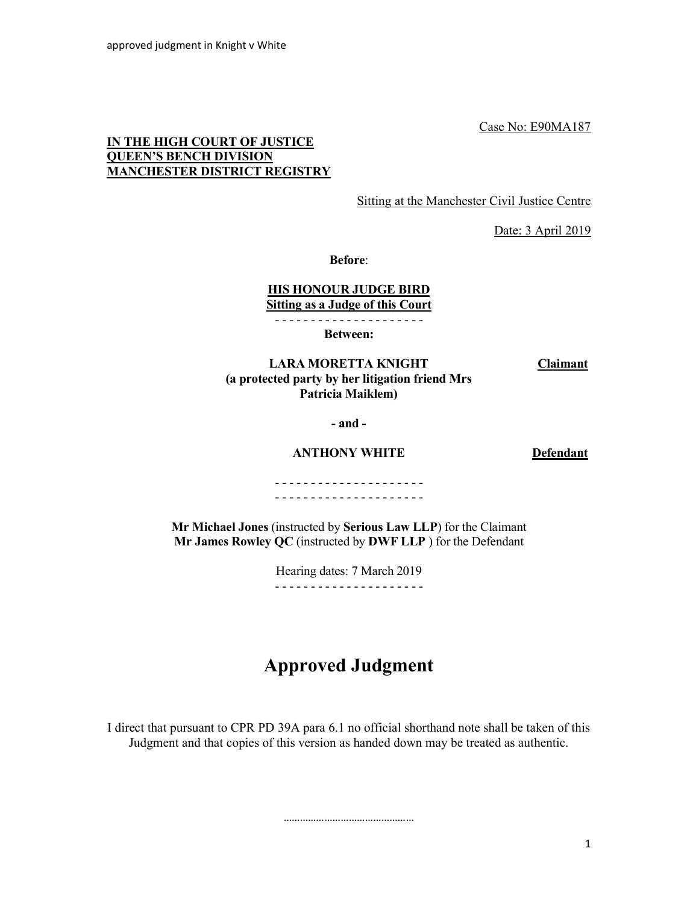Case No: E90MA187

## IN THE HIGH COURT OF JUSTICE QUEEN'S BENCH DIVISION MANCHESTER DISTRICT REGISTRY

Sitting at the Manchester Civil Justice Centre

Date: 3 April 2019

Before:

## HIS HONOUR JUDGE BIRD Sitting as a Judge of this Court

- - - - - - - - - - - - - - - - - - - - -

Between:

 LARA MORETTA KNIGHT (a protected party by her litigation friend Mrs Patricia Maiklem)

- and -

ANTHONY WHITE Defendant

**Claimant** 

- - - - - - - - - - - - - - - - - - - - - - - - - - - - - - - - - - - - - - - - - -

Mr Michael Jones (instructed by Serious Law LLP) for the Claimant Mr James Rowley QC (instructed by DWF LLP ) for the Defendant

> Hearing dates: 7 March 2019 - - - - - - - - - - - - - - - - - - - - -

# Approved Judgment

I direct that pursuant to CPR PD 39A para 6.1 no official shorthand note shall be taken of this Judgment and that copies of this version as handed down may be treated as authentic.

…………………………………………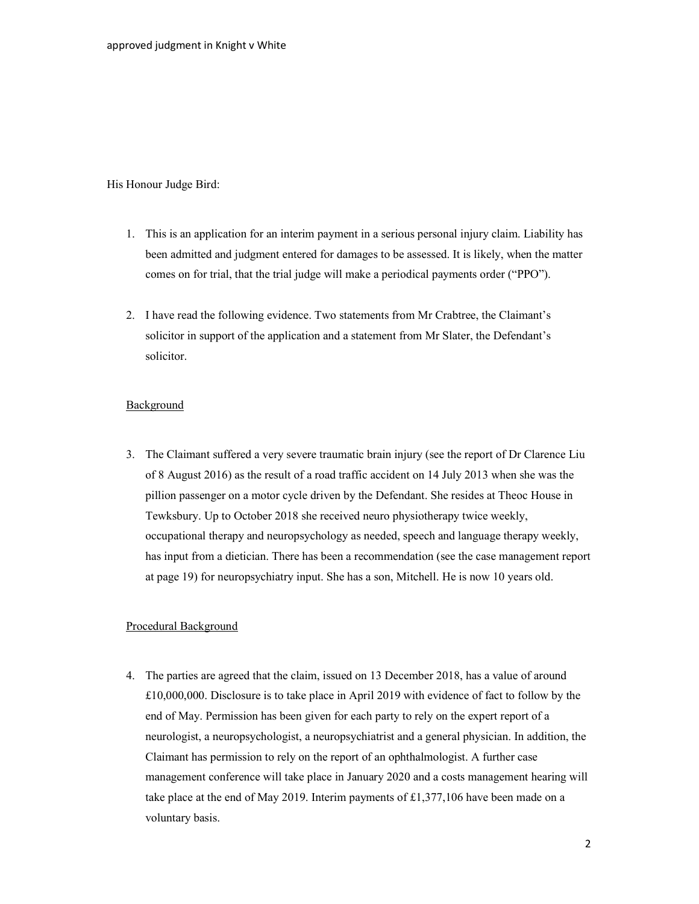#### His Honour Judge Bird:

- 1. This is an application for an interim payment in a serious personal injury claim. Liability has been admitted and judgment entered for damages to be assessed. It is likely, when the matter comes on for trial, that the trial judge will make a periodical payments order ("PPO").
- 2. I have read the following evidence. Two statements from Mr Crabtree, the Claimant's solicitor in support of the application and a statement from Mr Slater, the Defendant's solicitor.

## **Background**

3. The Claimant suffered a very severe traumatic brain injury (see the report of Dr Clarence Liu of 8 August 2016) as the result of a road traffic accident on 14 July 2013 when she was the pillion passenger on a motor cycle driven by the Defendant. She resides at Theoc House in Tewksbury. Up to October 2018 she received neuro physiotherapy twice weekly, occupational therapy and neuropsychology as needed, speech and language therapy weekly, has input from a dietician. There has been a recommendation (see the case management report at page 19) for neuropsychiatry input. She has a son, Mitchell. He is now 10 years old.

#### Procedural Background

4. The parties are agreed that the claim, issued on 13 December 2018, has a value of around £10,000,000. Disclosure is to take place in April 2019 with evidence of fact to follow by the end of May. Permission has been given for each party to rely on the expert report of a neurologist, a neuropsychologist, a neuropsychiatrist and a general physician. In addition, the Claimant has permission to rely on the report of an ophthalmologist. A further case management conference will take place in January 2020 and a costs management hearing will take place at the end of May 2019. Interim payments of £1,377,106 have been made on a voluntary basis.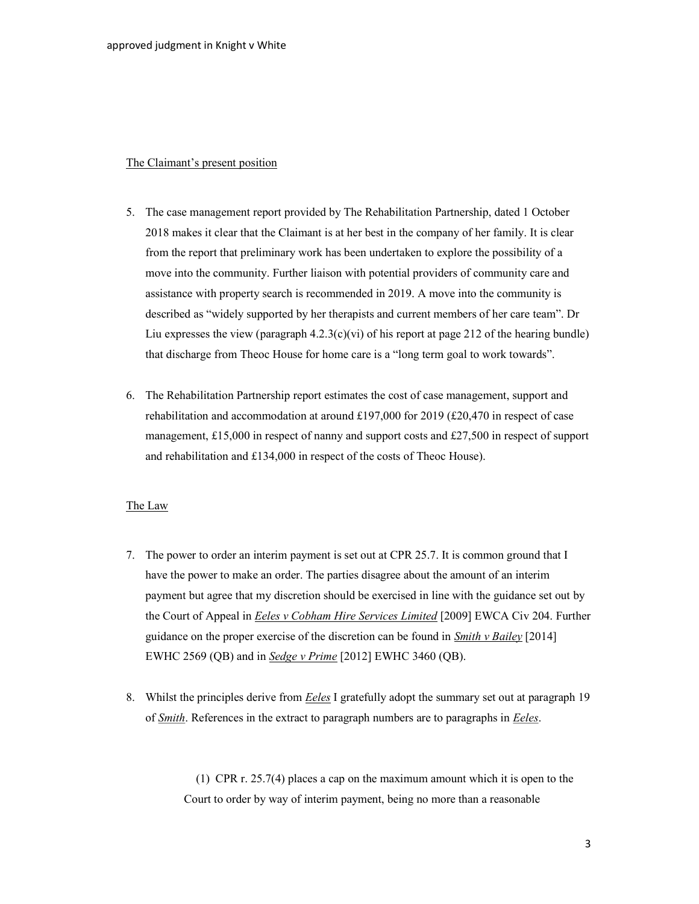## The Claimant's present position

- 5. The case management report provided by The Rehabilitation Partnership, dated 1 October 2018 makes it clear that the Claimant is at her best in the company of her family. It is clear from the report that preliminary work has been undertaken to explore the possibility of a move into the community. Further liaison with potential providers of community care and assistance with property search is recommended in 2019. A move into the community is described as "widely supported by her therapists and current members of her care team". Dr Liu expresses the view (paragraph  $4.2.3(c)(vi)$  of his report at page 212 of the hearing bundle) that discharge from Theoc House for home care is a "long term goal to work towards".
- 6. The Rehabilitation Partnership report estimates the cost of case management, support and rehabilitation and accommodation at around £197,000 for 2019 (£20,470 in respect of case management, £15,000 in respect of nanny and support costs and £27,500 in respect of support and rehabilitation and £134,000 in respect of the costs of Theoc House).

#### The Law

- 7. The power to order an interim payment is set out at CPR 25.7. It is common ground that I have the power to make an order. The parties disagree about the amount of an interim payment but agree that my discretion should be exercised in line with the guidance set out by the Court of Appeal in *Eeles v Cobham Hire Services Limited* [2009] EWCA Civ 204. Further guidance on the proper exercise of the discretion can be found in *Smith v Bailey* [2014] EWHC 2569 (QB) and in Sedge v Prime [2012] EWHC 3460 (QB).
- 8. Whilst the principles derive from **Eeles** I gratefully adopt the summary set out at paragraph 19 of Smith. References in the extract to paragraph numbers are to paragraphs in Eeles.

 (1) CPR r. 25.7(4) places a cap on the maximum amount which it is open to the Court to order by way of interim payment, being no more than a reasonable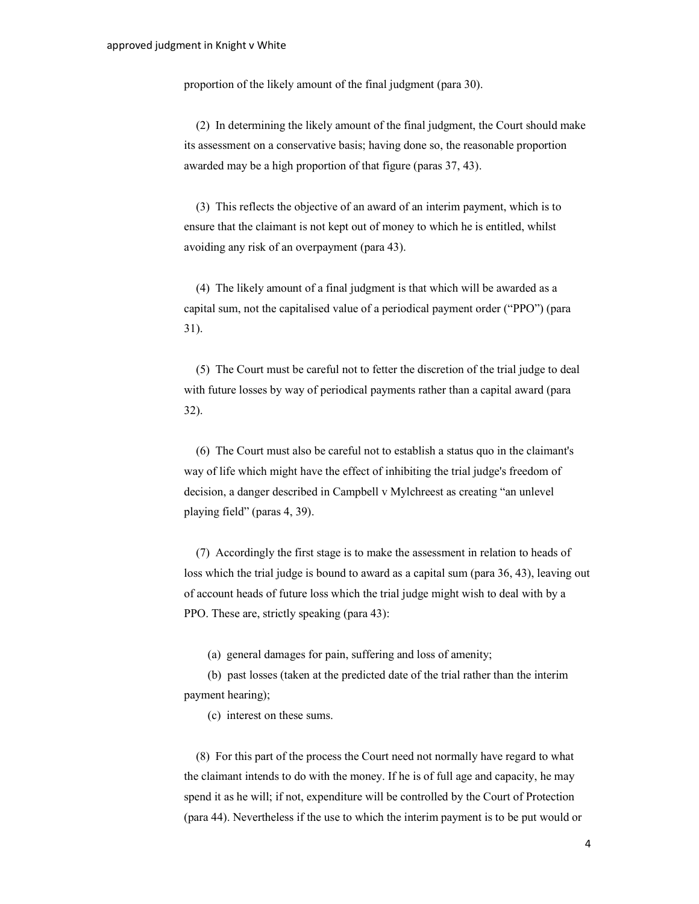proportion of the likely amount of the final judgment (para 30).

 (2) In determining the likely amount of the final judgment, the Court should make its assessment on a conservative basis; having done so, the reasonable proportion awarded may be a high proportion of that figure (paras 37, 43).

 (3) This reflects the objective of an award of an interim payment, which is to ensure that the claimant is not kept out of money to which he is entitled, whilst avoiding any risk of an overpayment (para 43).

 (4) The likely amount of a final judgment is that which will be awarded as a capital sum, not the capitalised value of a periodical payment order ("PPO") (para 31).

 (5) The Court must be careful not to fetter the discretion of the trial judge to deal with future losses by way of periodical payments rather than a capital award (para 32).

 (6) The Court must also be careful not to establish a status quo in the claimant's way of life which might have the effect of inhibiting the trial judge's freedom of decision, a danger described in Campbell v Mylchreest as creating "an unlevel playing field" (paras 4, 39).

 (7) Accordingly the first stage is to make the assessment in relation to heads of loss which the trial judge is bound to award as a capital sum (para 36, 43), leaving out of account heads of future loss which the trial judge might wish to deal with by a PPO. These are, strictly speaking (para 43):

(a) general damages for pain, suffering and loss of amenity;

 (b) past losses (taken at the predicted date of the trial rather than the interim payment hearing);

(c) interest on these sums.

 (8) For this part of the process the Court need not normally have regard to what the claimant intends to do with the money. If he is of full age and capacity, he may spend it as he will; if not, expenditure will be controlled by the Court of Protection (para 44). Nevertheless if the use to which the interim payment is to be put would or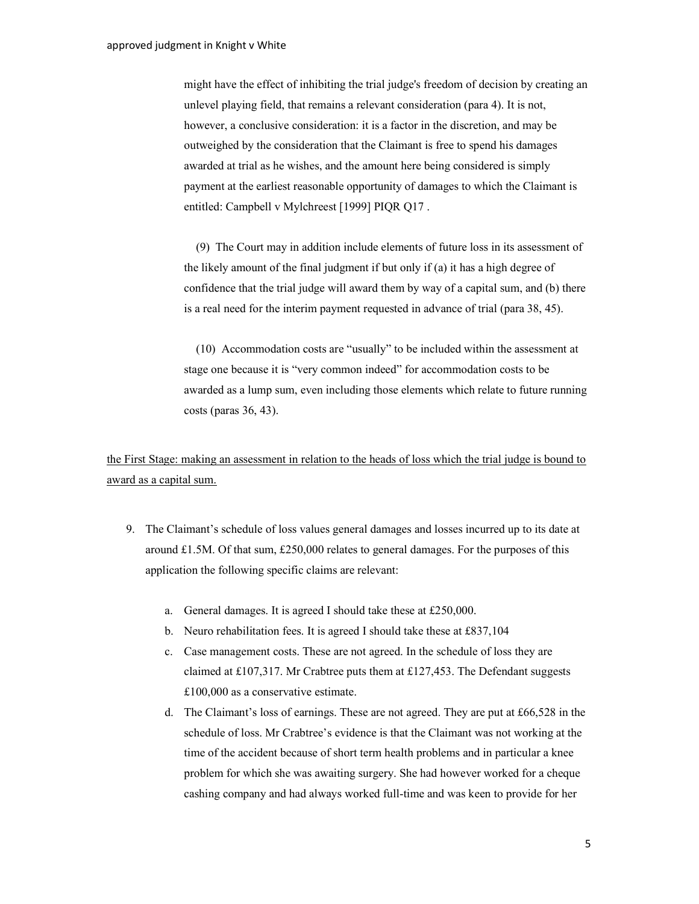might have the effect of inhibiting the trial judge's freedom of decision by creating an unlevel playing field, that remains a relevant consideration (para 4). It is not, however, a conclusive consideration: it is a factor in the discretion, and may be outweighed by the consideration that the Claimant is free to spend his damages awarded at trial as he wishes, and the amount here being considered is simply payment at the earliest reasonable opportunity of damages to which the Claimant is entitled: Campbell v Mylchreest [1999] PIQR Q17 .

 (9) The Court may in addition include elements of future loss in its assessment of the likely amount of the final judgment if but only if (a) it has a high degree of confidence that the trial judge will award them by way of a capital sum, and (b) there is a real need for the interim payment requested in advance of trial (para 38, 45).

 (10) Accommodation costs are "usually" to be included within the assessment at stage one because it is "very common indeed" for accommodation costs to be awarded as a lump sum, even including those elements which relate to future running costs (paras 36, 43).

the First Stage: making an assessment in relation to the heads of loss which the trial judge is bound to award as a capital sum.

- 9. The Claimant's schedule of loss values general damages and losses incurred up to its date at around £1.5M. Of that sum, £250,000 relates to general damages. For the purposes of this application the following specific claims are relevant:
	- a. General damages. It is agreed I should take these at £250,000.
	- b. Neuro rehabilitation fees. It is agreed I should take these at £837,104
	- c. Case management costs. These are not agreed. In the schedule of loss they are claimed at £107,317. Mr Crabtree puts them at £127,453. The Defendant suggests £100,000 as a conservative estimate.
	- d. The Claimant's loss of earnings. These are not agreed. They are put at £66,528 in the schedule of loss. Mr Crabtree's evidence is that the Claimant was not working at the time of the accident because of short term health problems and in particular a knee problem for which she was awaiting surgery. She had however worked for a cheque cashing company and had always worked full-time and was keen to provide for her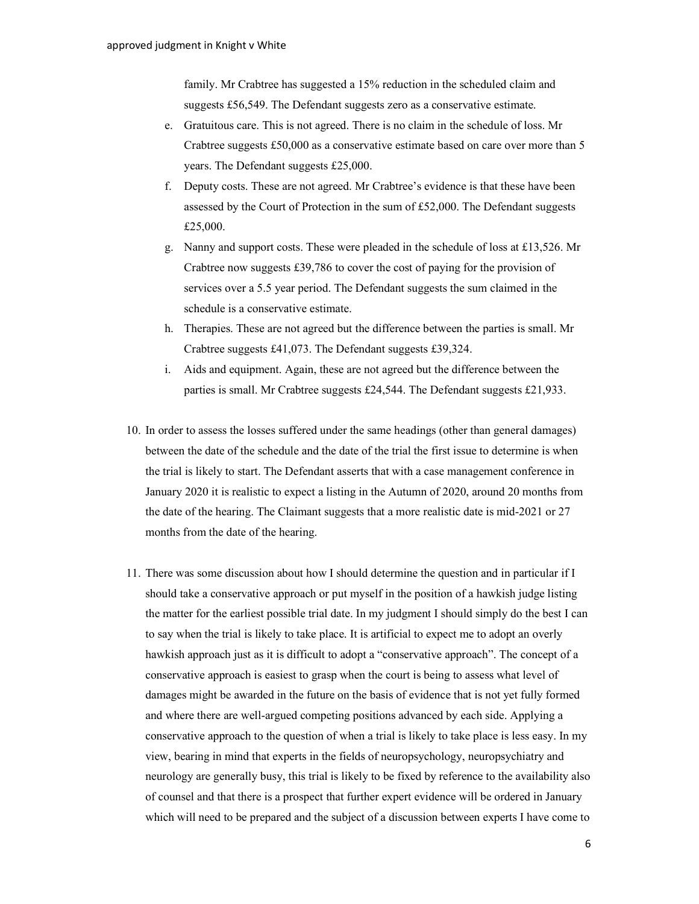family. Mr Crabtree has suggested a 15% reduction in the scheduled claim and suggests £56,549. The Defendant suggests zero as a conservative estimate.

- e. Gratuitous care. This is not agreed. There is no claim in the schedule of loss. Mr Crabtree suggests £50,000 as a conservative estimate based on care over more than 5 years. The Defendant suggests £25,000.
- f. Deputy costs. These are not agreed. Mr Crabtree's evidence is that these have been assessed by the Court of Protection in the sum of £52,000. The Defendant suggests £25,000.
- g. Nanny and support costs. These were pleaded in the schedule of loss at £13,526. Mr Crabtree now suggests £39,786 to cover the cost of paying for the provision of services over a 5.5 year period. The Defendant suggests the sum claimed in the schedule is a conservative estimate.
- h. Therapies. These are not agreed but the difference between the parties is small. Mr Crabtree suggests £41,073. The Defendant suggests £39,324.
- i. Aids and equipment. Again, these are not agreed but the difference between the parties is small. Mr Crabtree suggests £24,544. The Defendant suggests £21,933.
- 10. In order to assess the losses suffered under the same headings (other than general damages) between the date of the schedule and the date of the trial the first issue to determine is when the trial is likely to start. The Defendant asserts that with a case management conference in January 2020 it is realistic to expect a listing in the Autumn of 2020, around 20 months from the date of the hearing. The Claimant suggests that a more realistic date is mid-2021 or 27 months from the date of the hearing.
- 11. There was some discussion about how I should determine the question and in particular if I should take a conservative approach or put myself in the position of a hawkish judge listing the matter for the earliest possible trial date. In my judgment I should simply do the best I can to say when the trial is likely to take place. It is artificial to expect me to adopt an overly hawkish approach just as it is difficult to adopt a "conservative approach". The concept of a conservative approach is easiest to grasp when the court is being to assess what level of damages might be awarded in the future on the basis of evidence that is not yet fully formed and where there are well-argued competing positions advanced by each side. Applying a conservative approach to the question of when a trial is likely to take place is less easy. In my view, bearing in mind that experts in the fields of neuropsychology, neuropsychiatry and neurology are generally busy, this trial is likely to be fixed by reference to the availability also of counsel and that there is a prospect that further expert evidence will be ordered in January which will need to be prepared and the subject of a discussion between experts I have come to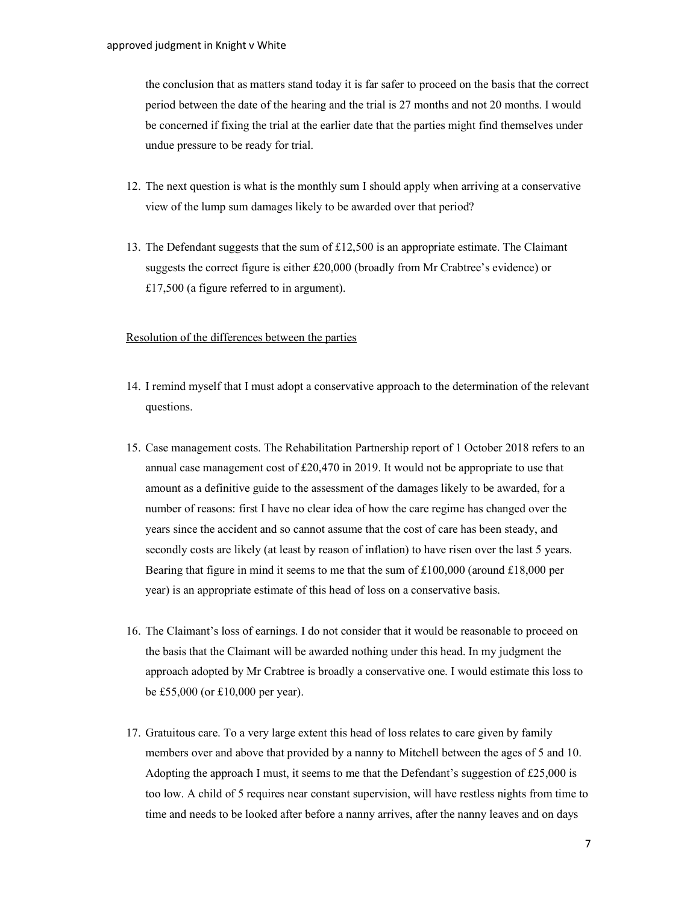the conclusion that as matters stand today it is far safer to proceed on the basis that the correct period between the date of the hearing and the trial is 27 months and not 20 months. I would be concerned if fixing the trial at the earlier date that the parties might find themselves under undue pressure to be ready for trial.

- 12. The next question is what is the monthly sum I should apply when arriving at a conservative view of the lump sum damages likely to be awarded over that period?
- 13. The Defendant suggests that the sum of  $\pounds$ 12,500 is an appropriate estimate. The Claimant suggests the correct figure is either £20,000 (broadly from Mr Crabtree's evidence) or £17,500 (a figure referred to in argument).

## Resolution of the differences between the parties

- 14. I remind myself that I must adopt a conservative approach to the determination of the relevant questions.
- 15. Case management costs. The Rehabilitation Partnership report of 1 October 2018 refers to an annual case management cost of £20,470 in 2019. It would not be appropriate to use that amount as a definitive guide to the assessment of the damages likely to be awarded, for a number of reasons: first I have no clear idea of how the care regime has changed over the years since the accident and so cannot assume that the cost of care has been steady, and secondly costs are likely (at least by reason of inflation) to have risen over the last 5 years. Bearing that figure in mind it seems to me that the sum of  $£100,000$  (around  $£18,000$  per year) is an appropriate estimate of this head of loss on a conservative basis.
- 16. The Claimant's loss of earnings. I do not consider that it would be reasonable to proceed on the basis that the Claimant will be awarded nothing under this head. In my judgment the approach adopted by Mr Crabtree is broadly a conservative one. I would estimate this loss to be £55,000 (or £10,000 per year).
- 17. Gratuitous care. To a very large extent this head of loss relates to care given by family members over and above that provided by a nanny to Mitchell between the ages of 5 and 10. Adopting the approach I must, it seems to me that the Defendant's suggestion of £25,000 is too low. A child of 5 requires near constant supervision, will have restless nights from time to time and needs to be looked after before a nanny arrives, after the nanny leaves and on days

7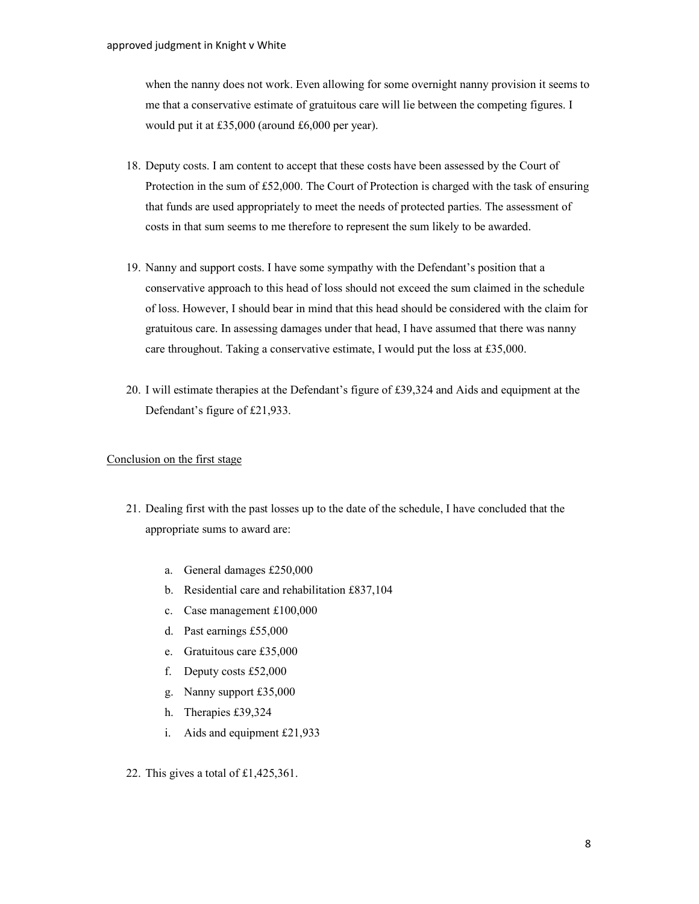when the nanny does not work. Even allowing for some overnight nanny provision it seems to me that a conservative estimate of gratuitous care will lie between the competing figures. I would put it at £35,000 (around £6,000 per year).

- 18. Deputy costs. I am content to accept that these costs have been assessed by the Court of Protection in the sum of £52,000. The Court of Protection is charged with the task of ensuring that funds are used appropriately to meet the needs of protected parties. The assessment of costs in that sum seems to me therefore to represent the sum likely to be awarded.
- 19. Nanny and support costs. I have some sympathy with the Defendant's position that a conservative approach to this head of loss should not exceed the sum claimed in the schedule of loss. However, I should bear in mind that this head should be considered with the claim for gratuitous care. In assessing damages under that head, I have assumed that there was nanny care throughout. Taking a conservative estimate, I would put the loss at £35,000.
- 20. I will estimate therapies at the Defendant's figure of £39,324 and Aids and equipment at the Defendant's figure of £21,933.

## Conclusion on the first stage

- 21. Dealing first with the past losses up to the date of the schedule, I have concluded that the appropriate sums to award are:
	- a. General damages £250,000
	- b. Residential care and rehabilitation £837,104
	- c. Case management £100,000
	- d. Past earnings £55,000
	- e. Gratuitous care £35,000
	- f. Deputy costs £52,000
	- g. Nanny support £35,000
	- h. Therapies £39,324
	- i. Aids and equipment £21,933
- 22. This gives a total of £1,425,361.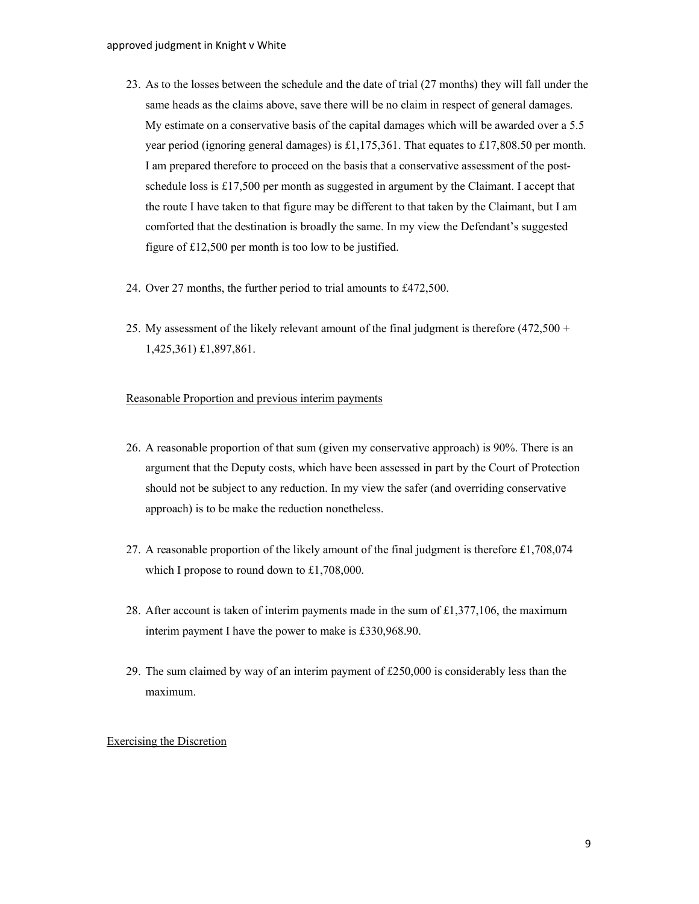- 23. As to the losses between the schedule and the date of trial (27 months) they will fall under the same heads as the claims above, save there will be no claim in respect of general damages. My estimate on a conservative basis of the capital damages which will be awarded over a 5.5 year period (ignoring general damages) is £1,175,361. That equates to £17,808.50 per month. I am prepared therefore to proceed on the basis that a conservative assessment of the postschedule loss is £17,500 per month as suggested in argument by the Claimant. I accept that the route I have taken to that figure may be different to that taken by the Claimant, but I am comforted that the destination is broadly the same. In my view the Defendant's suggested figure of £12,500 per month is too low to be justified.
- 24. Over 27 months, the further period to trial amounts to £472,500.
- 25. My assessment of the likely relevant amount of the final judgment is therefore  $(472.500 +$ 1,425,361) £1,897,861.

## Reasonable Proportion and previous interim payments

- 26. A reasonable proportion of that sum (given my conservative approach) is 90%. There is an argument that the Deputy costs, which have been assessed in part by the Court of Protection should not be subject to any reduction. In my view the safer (and overriding conservative approach) is to be make the reduction nonetheless.
- 27. A reasonable proportion of the likely amount of the final judgment is therefore £1,708,074 which I propose to round down to £1,708,000.
- 28. After account is taken of interim payments made in the sum of £1,377,106, the maximum interim payment I have the power to make is £330,968.90.
- 29. The sum claimed by way of an interim payment of  $£250,000$  is considerably less than the maximum.

## Exercising the Discretion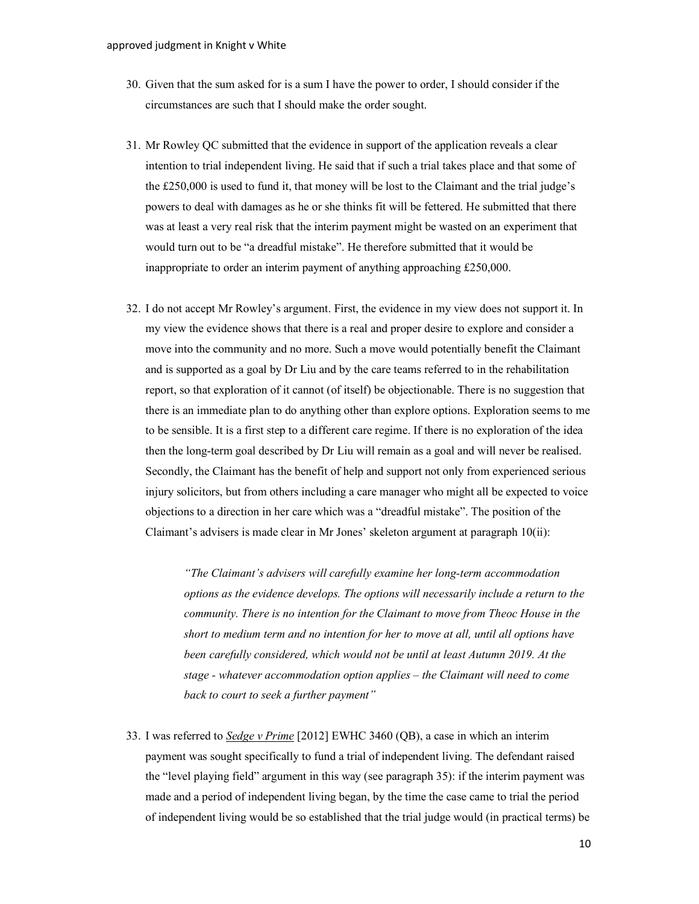- 30. Given that the sum asked for is a sum I have the power to order, I should consider if the circumstances are such that I should make the order sought.
- 31. Mr Rowley QC submitted that the evidence in support of the application reveals a clear intention to trial independent living. He said that if such a trial takes place and that some of the £250,000 is used to fund it, that money will be lost to the Claimant and the trial judge's powers to deal with damages as he or she thinks fit will be fettered. He submitted that there was at least a very real risk that the interim payment might be wasted on an experiment that would turn out to be "a dreadful mistake". He therefore submitted that it would be inappropriate to order an interim payment of anything approaching £250,000.
- 32. I do not accept Mr Rowley's argument. First, the evidence in my view does not support it. In my view the evidence shows that there is a real and proper desire to explore and consider a move into the community and no more. Such a move would potentially benefit the Claimant and is supported as a goal by Dr Liu and by the care teams referred to in the rehabilitation report, so that exploration of it cannot (of itself) be objectionable. There is no suggestion that there is an immediate plan to do anything other than explore options. Exploration seems to me to be sensible. It is a first step to a different care regime. If there is no exploration of the idea then the long-term goal described by Dr Liu will remain as a goal and will never be realised. Secondly, the Claimant has the benefit of help and support not only from experienced serious injury solicitors, but from others including a care manager who might all be expected to voice objections to a direction in her care which was a "dreadful mistake". The position of the Claimant's advisers is made clear in Mr Jones' skeleton argument at paragraph 10(ii):

"The Claimant's advisers will carefully examine her long-term accommodation options as the evidence develops. The options will necessarily include a return to the community. There is no intention for the Claimant to move from Theoc House in the short to medium term and no intention for her to move at all, until all options have been carefully considered, which would not be until at least Autumn 2019. At the stage - whatever accommodation option applies – the Claimant will need to come back to court to seek a further payment"

33. I was referred to Sedge v Prime [2012] EWHC 3460 (QB), a case in which an interim payment was sought specifically to fund a trial of independent living. The defendant raised the "level playing field" argument in this way (see paragraph 35): if the interim payment was made and a period of independent living began, by the time the case came to trial the period of independent living would be so established that the trial judge would (in practical terms) be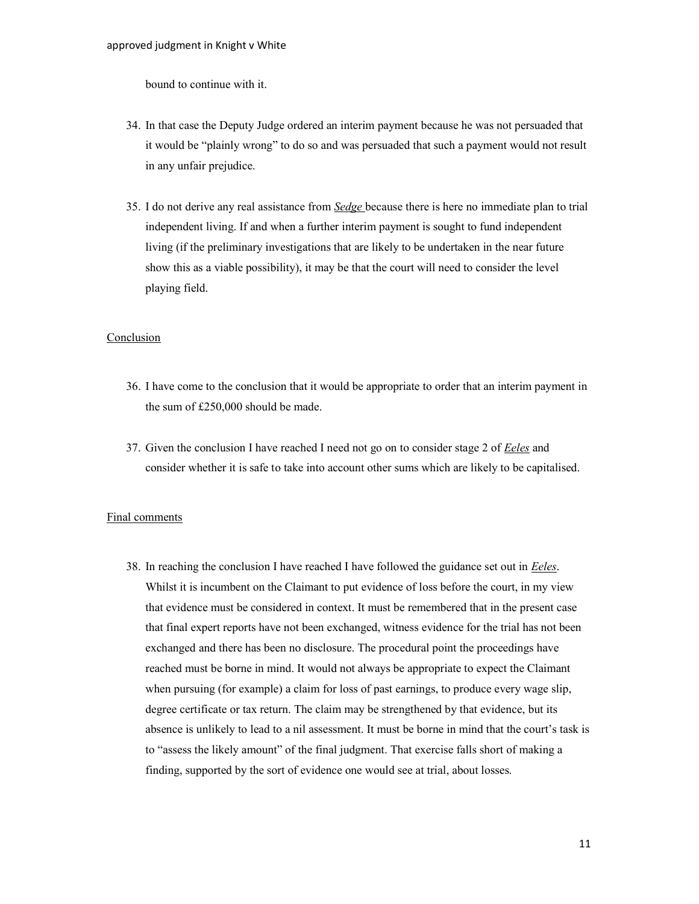bound to continue with it.

- 34. In that case the Deputy Judge ordered an interim payment because he was not persuaded that it would be "plainly wrong" to do so and was persuaded that such a payment would not result in any unfair prejudice.
- 35. I do not derive any real assistance from Sedge because there is here no immediate plan to trial independent living. If and when a further interim payment is sought to fund independent living (if the preliminary investigations that are likely to be undertaken in the near future show this as a viable possibility), it may be that the court will need to consider the level playing field.

#### Conclusion

- 36. I have come to the conclusion that it would be appropriate to order that an interim payment in the sum of £250,000 should be made.
- 37. Given the conclusion I have reached I need not go on to consider stage 2 of *Eeles* and consider whether it is safe to take into account other sums which are likely to be capitalised.

#### Final comments

38. In reaching the conclusion I have reached I have followed the guidance set out in *Eeles*. Whilst it is incumbent on the Claimant to put evidence of loss before the court, in my view that evidence must be considered in context. It must be remembered that in the present case that final expert reports have not been exchanged, witness evidence for the trial has not been exchanged and there has been no disclosure. The procedural point the proceedings have reached must be borne in mind. It would not always be appropriate to expect the Claimant when pursuing (for example) a claim for loss of past earnings, to produce every wage slip, degree certificate or tax return. The claim may be strengthened by that evidence, but its absence is unlikely to lead to a nil assessment. It must be borne in mind that the court's task is to "assess the likely amount" of the final judgment. That exercise falls short of making a finding, supported by the sort of evidence one would see at trial, about losses.